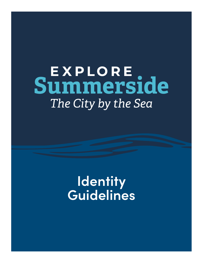# **Summerside** The City by the Sea

### **Identity Guidelines**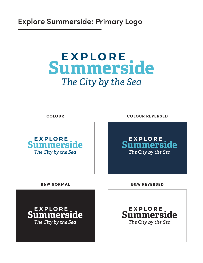#### **Explore Summerside: Primary Logo**

### **Summerside** The City by the Sea

EXPLORE<br>Summerside The City by the Sea

COLOUR COLOUR REVERSED



**EXPLORE**<br>Summerside The City by the Sea

B&W NORMAL B&W REVERSED

**EXPLORE**<br>Summerside The City by the Sea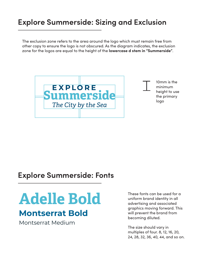#### **Explore Summerside: Sizing and Exclusion**

The exclusion zone refers to the area around the logo which must remain free from other copy to ensure the logo is not obscured. As the diagram indicates, the exclusion zone for the logos are equal to the height of the **lowercase d stem in "Summerside"**.



#### **Explore Summerside: Fonts**

## **Adelle Bold**

#### **Montserrat Bold**

Montserrat Medium

These fonts can be used for a uniform brand identity in all advertising and associated graphics moving forward. This will prevent the brand from becoming diluted.

The size should vary in multiples of four. 8, 12, 16, 20, 24, 28, 32, 36, 40, 44, and so on.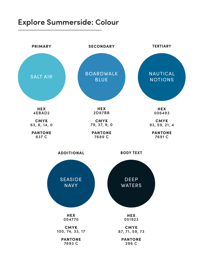#### **Explore Summerside: Colour**